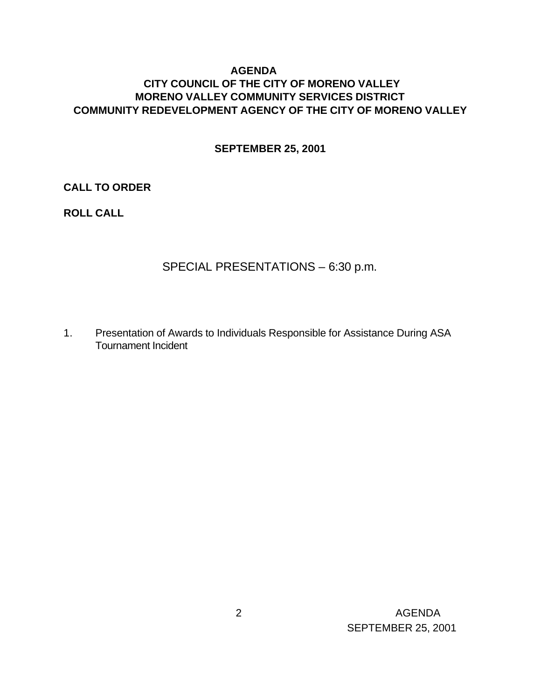## **AGENDA CITY COUNCIL OF THE CITY OF MORENO VALLEY MORENO VALLEY COMMUNITY SERVICES DISTRICT COMMUNITY REDEVELOPMENT AGENCY OF THE CITY OF MORENO VALLEY**

#### **SEPTEMBER 25, 2001**

#### **CALL TO ORDER**

## **ROLL CALL**

# SPECIAL PRESENTATIONS – 6:30 p.m.

1. Presentation of Awards to Individuals Responsible for Assistance During ASA Tournament Incident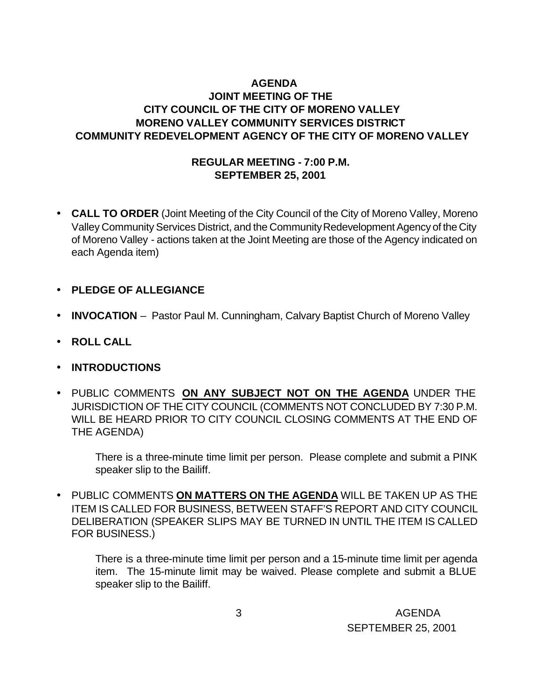# **AGENDA JOINT MEETING OF THE CITY COUNCIL OF THE CITY OF MORENO VALLEY MORENO VALLEY COMMUNITY SERVICES DISTRICT COMMUNITY REDEVELOPMENT AGENCY OF THE CITY OF MORENO VALLEY**

#### **REGULAR MEETING - 7:00 P.M. SEPTEMBER 25, 2001**

- **CALL TO ORDER** (Joint Meeting of the City Council of the City of Moreno Valley, Moreno Valley Community Services District, and the Community Redevelopment Agency of the City of Moreno Valley - actions taken at the Joint Meeting are those of the Agency indicated on each Agenda item)
- **PLEDGE OF ALLEGIANCE**
- **INVOCATION** Pastor Paul M. Cunningham, Calvary Baptist Church of Moreno Valley
- **ROLL CALL**
- **INTRODUCTIONS**
- PUBLIC COMMENTS **ON ANY SUBJECT NOT ON THE AGENDA** UNDER THE JURISDICTION OF THE CITY COUNCIL (COMMENTS NOT CONCLUDED BY 7:30 P.M. WILL BE HEARD PRIOR TO CITY COUNCIL CLOSING COMMENTS AT THE END OF THE AGENDA)

There is a three-minute time limit per person. Please complete and submit a PINK speaker slip to the Bailiff.

• PUBLIC COMMENTS **ON MATTERS ON THE AGENDA** WILL BE TAKEN UP AS THE ITEM IS CALLED FOR BUSINESS, BETWEEN STAFF'S REPORT AND CITY COUNCIL DELIBERATION (SPEAKER SLIPS MAY BE TURNED IN UNTIL THE ITEM IS CALLED FOR BUSINESS.)

There is a three-minute time limit per person and a 15-minute time limit per agenda item. The 15-minute limit may be waived. Please complete and submit a BLUE speaker slip to the Bailiff.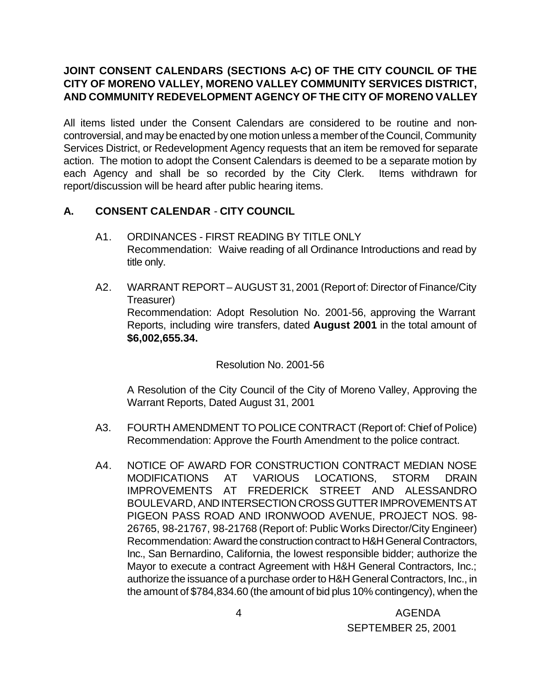# **JOINT CONSENT CALENDARS (SECTIONS A-C) OF THE CITY COUNCIL OF THE CITY OF MORENO VALLEY, MORENO VALLEY COMMUNITY SERVICES DISTRICT, AND COMMUNITY REDEVELOPMENT AGENCY OF THE CITY OF MORENO VALLEY**

All items listed under the Consent Calendars are considered to be routine and noncontroversial, and may be enacted by one motion unless a member of the Council, Community Services District, or Redevelopment Agency requests that an item be removed for separate action. The motion to adopt the Consent Calendars is deemed to be a separate motion by each Agency and shall be so recorded by the City Clerk. Items withdrawn for report/discussion will be heard after public hearing items.

# **A. CONSENT CALENDAR** - **CITY COUNCIL**

- A1. ORDINANCES FIRST READING BY TITLE ONLY Recommendation: Waive reading of all Ordinance Introductions and read by title only.
- A2. WARRANT REPORT AUGUST 31, 2001 (Report of: Director of Finance/City Treasurer) Recommendation: Adopt Resolution No. 2001-56, approving the Warrant Reports, including wire transfers, dated **August 2001** in the total amount of **\$6,002,655.34.**

Resolution No. 2001-56

A Resolution of the City Council of the City of Moreno Valley, Approving the Warrant Reports, Dated August 31, 2001

- A3. FOURTH AMENDMENT TO POLICE CONTRACT (Report of: Chief of Police) Recommendation: Approve the Fourth Amendment to the police contract.
- A4. NOTICE OF AWARD FOR CONSTRUCTION CONTRACT MEDIAN NOSE MODIFICATIONS AT VARIOUS LOCATIONS, STORM DRAIN IMPROVEMENTS AT FREDERICK STREET AND ALESSANDRO BOULEVARD, AND INTERSECTION CROSS GUTTER IMPROVEMENTS AT PIGEON PASS ROAD AND IRONWOOD AVENUE, PROJECT NOS. 98- 26765, 98-21767, 98-21768 (Report of: Public Works Director/City Engineer) Recommendation: Award the construction contract to H&H General Contractors, Inc., San Bernardino, California, the lowest responsible bidder; authorize the Mayor to execute a contract Agreement with H&H General Contractors, Inc.; authorize the issuance of a purchase order to H&H General Contractors, Inc., in the amount of \$784,834.60 (the amount of bid plus 10% contingency), when the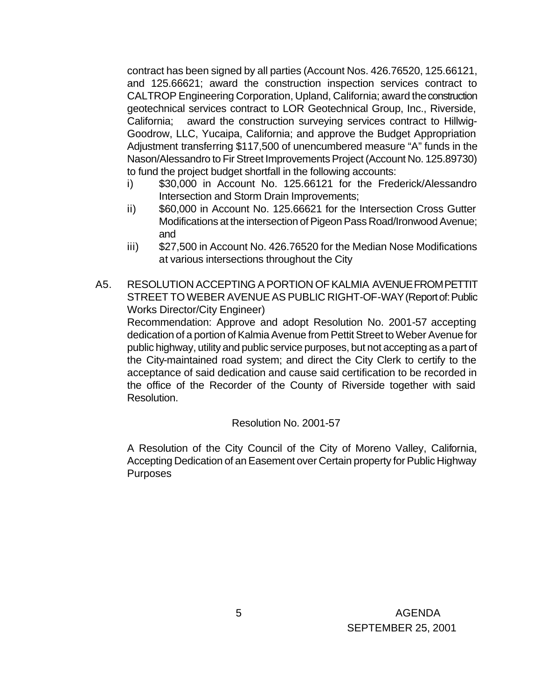contract has been signed by all parties (Account Nos. 426.76520, 125.66121, and 125.66621; award the construction inspection services contract to CALTROP Engineering Corporation, Upland, California; award the construction geotechnical services contract to LOR Geotechnical Group, Inc., Riverside, California; award the construction surveying services contract to Hillwig-Goodrow, LLC, Yucaipa, California; and approve the Budget Appropriation Adjustment transferring \$117,500 of unencumbered measure "A" funds in the Nason/Alessandro to Fir Street Improvements Project (Account No. 125.89730) to fund the project budget shortfall in the following accounts:

- i) \$30,000 in Account No. 125.66121 for the Frederick/Alessandro Intersection and Storm Drain Improvements;
- ii) \$60,000 in Account No. 125.66621 for the Intersection Cross Gutter Modifications at the intersection of Pigeon Pass Road/Ironwood Avenue; and
- iii) \$27,500 in Account No. 426.76520 for the Median Nose Modifications at various intersections throughout the City
- A5. RESOLUTION ACCEPTING A PORTION OF KALMIA AVENUE FROM PETTIT STREET TO WEBER AVENUE AS PUBLIC RIGHT-OF-WAY (Report of: Public Works Director/City Engineer)

Recommendation: Approve and adopt Resolution No. 2001-57 accepting dedication of a portion of Kalmia Avenue from Pettit Street to Weber Avenue for public highway, utility and public service purposes, but not accepting as a part of the City-maintained road system; and direct the City Clerk to certify to the acceptance of said dedication and cause said certification to be recorded in the office of the Recorder of the County of Riverside together with said Resolution.

Resolution No. 2001-57

A Resolution of the City Council of the City of Moreno Valley, California, Accepting Dedication of an Easement over Certain property for Public Highway Purposes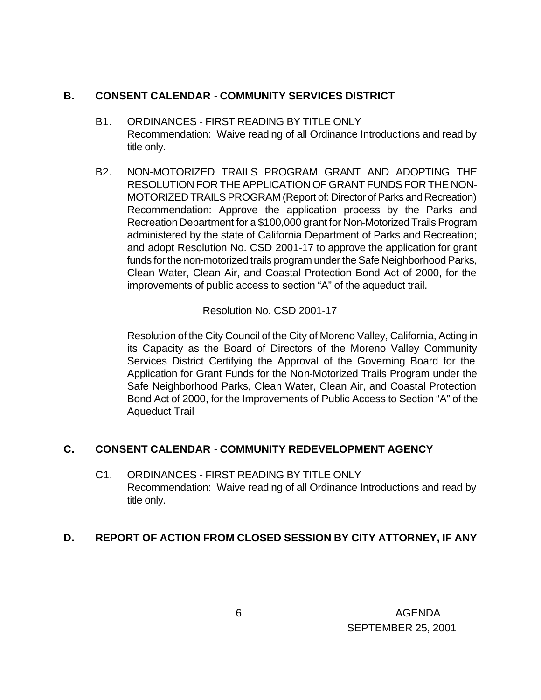#### **B. CONSENT CALENDAR** - **COMMUNITY SERVICES DISTRICT**

- B1. ORDINANCES FIRST READING BY TITLE ONLY Recommendation: Waive reading of all Ordinance Introductions and read by title only.
- B2. NON-MOTORIZED TRAILS PROGRAM GRANT AND ADOPTING THE RESOLUTION FOR THE APPLICATION OF GRANT FUNDS FOR THE NON-MOTORIZED TRAILS PROGRAM (Report of: Director of Parks and Recreation) Recommendation: Approve the application process by the Parks and Recreation Department for a \$100,000 grant for Non-Motorized Trails Program administered by the state of California Department of Parks and Recreation; and adopt Resolution No. CSD 2001-17 to approve the application for grant funds for the non-motorized trails program under the Safe Neighborhood Parks, Clean Water, Clean Air, and Coastal Protection Bond Act of 2000, for the improvements of public access to section "A" of the aqueduct trail.

Resolution No. CSD 2001-17

Resolution of the City Council of the City of Moreno Valley, California, Acting in its Capacity as the Board of Directors of the Moreno Valley Community Services District Certifying the Approval of the Governing Board for the Application for Grant Funds for the Non-Motorized Trails Program under the Safe Neighborhood Parks, Clean Water, Clean Air, and Coastal Protection Bond Act of 2000, for the Improvements of Public Access to Section "A" of the Aqueduct Trail

## **C. CONSENT CALENDAR** - **COMMUNITY REDEVELOPMENT AGENCY**

C1. ORDINANCES - FIRST READING BY TITLE ONLY Recommendation: Waive reading of all Ordinance Introductions and read by title only.

## **D. REPORT OF ACTION FROM CLOSED SESSION BY CITY ATTORNEY, IF ANY**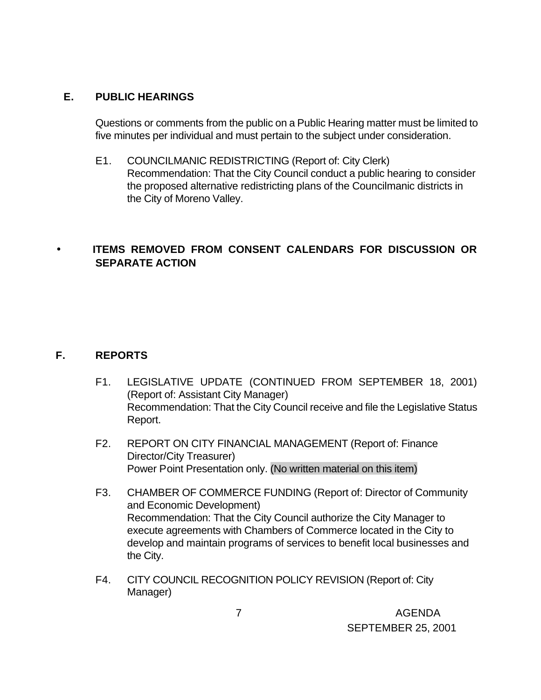#### **E. PUBLIC HEARINGS**

Questions or comments from the public on a Public Hearing matter must be limited to five minutes per individual and must pertain to the subject under consideration.

E1. COUNCILMANIC REDISTRICTING (Report of: City Clerk) Recommendation: That the City Council conduct a public hearing to consider the proposed alternative redistricting plans of the Councilmanic districts in the City of Moreno Valley.

# • **ITEMS REMOVED FROM CONSENT CALENDARS FOR DISCUSSION OR SEPARATE ACTION**

## **F. REPORTS**

- F1. LEGISLATIVE UPDATE (CONTINUED FROM SEPTEMBER 18, 2001) (Report of: Assistant City Manager) Recommendation: That the City Council receive and file the Legislative Status Report.
- F2. REPORT ON CITY FINANCIAL MANAGEMENT (Report of: Finance Director/City Treasurer) Power Point Presentation only. (No written material on this item)
- F3. CHAMBER OF COMMERCE FUNDING (Report of: Director of Community and Economic Development) Recommendation: That the City Council authorize the City Manager to execute agreements with Chambers of Commerce located in the City to develop and maintain programs of services to benefit local businesses and the City.
- F4. CITY COUNCIL RECOGNITION POLICY REVISION (Report of: City Manager)

 7 AGENDA SEPTEMBER 25, 2001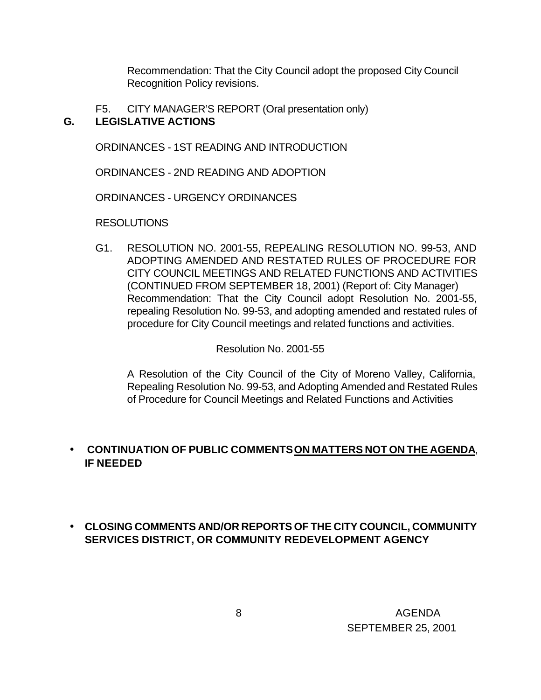Recommendation: That the City Council adopt the proposed City Council Recognition Policy revisions.

F5. CITY MANAGER'S REPORT (Oral presentation only) **G. LEGISLATIVE ACTIONS**

ORDINANCES - 1ST READING AND INTRODUCTION

ORDINANCES - 2ND READING AND ADOPTION

ORDINANCES - URGENCY ORDINANCES

RESOLUTIONS

G1. RESOLUTION NO. 2001-55, REPEALING RESOLUTION NO. 99-53, AND ADOPTING AMENDED AND RESTATED RULES OF PROCEDURE FOR CITY COUNCIL MEETINGS AND RELATED FUNCTIONS AND ACTIVITIES (CONTINUED FROM SEPTEMBER 18, 2001) (Report of: City Manager) Recommendation: That the City Council adopt Resolution No. 2001-55, repealing Resolution No. 99-53, and adopting amended and restated rules of procedure for City Council meetings and related functions and activities.

Resolution No. 2001-55

A Resolution of the City Council of the City of Moreno Valley, California, Repealing Resolution No. 99-53, and Adopting Amended and Restated Rules of Procedure for Council Meetings and Related Functions and Activities

## • **CONTINUATION OF PUBLIC COMMENTS ON MATTERS NOT ON THE AGENDA**, **IF NEEDED**

# • **CLOSING COMMENTS AND/OR REPORTS OF THE CITY COUNCIL, COMMUNITY SERVICES DISTRICT, OR COMMUNITY REDEVELOPMENT AGENCY**